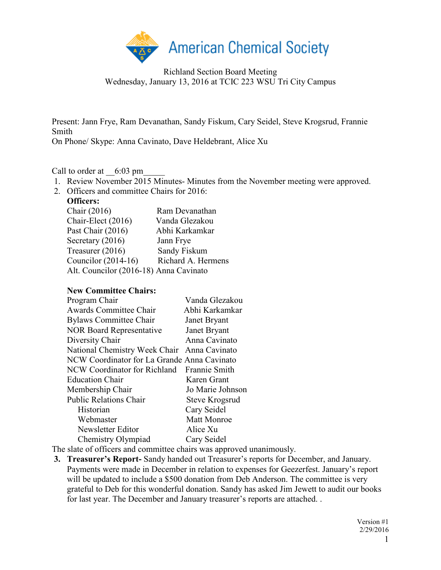

Present: Jann Frye, Ram Devanathan, Sandy Fiskum, Cary Seidel, Steve Krogsrud, Frannie Smith

On Phone/ Skype: Anna Cavinato, Dave Heldebrant, Alice Xu

Call to order at  $6:03 \text{ pm}$ 

- 1. Review November 2015 Minutes- Minutes from the November meeting were approved.
- 2. Officers and committee Chairs for 2016:

| Officers:                              |                    |
|----------------------------------------|--------------------|
| Chair (2016)                           | Ram Devanathan     |
| Chair-Elect (2016)                     | Vanda Glezakou     |
| Past Chair (2016)                      | Abhi Karkamkar     |
| Secretary (2016)                       | Jann Frye          |
| Treasurer (2016)                       | Sandy Fiskum       |
| Councilor $(2014-16)$                  | Richard A. Hermens |
| Alt. Councilor (2016-18) Anna Cavinato |                    |

### **New Committee Chairs:**

| Vanda Glezakou                              |
|---------------------------------------------|
| Abhi Karkamkar                              |
| Janet Bryant                                |
| Janet Bryant                                |
| Anna Cavinato                               |
| Anna Cavinato                               |
| NCW Coordinator for La Grande Anna Cavinato |
| NCW Coordinator for Richland Frannie Smith  |
| Karen Grant                                 |
| Jo Marie Johnson                            |
| <b>Steve Krogsrud</b>                       |
| Cary Seidel                                 |
| <b>Matt Monroe</b>                          |
| Alice Xu                                    |
| Cary Seidel                                 |
|                                             |

The slate of officers and committee chairs was approved unanimously.

**3. Treasurer's Report-** Sandy handed out Treasurer's reports for December, and January. Payments were made in December in relation to expenses for Geezerfest. January's report will be updated to include a \$500 donation from Deb Anderson. The committee is very grateful to Deb for this wonderful donation. Sandy has asked Jim Jewett to audit our books for last year. The December and January treasurer's reports are attached. .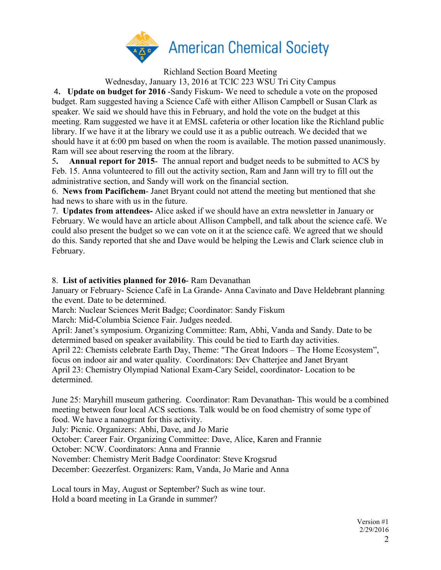

Richland Section Board Meeting

Wednesday, January 13, 2016 at TCIC 223 WSU Tri City Campus

4**. Update on budget for 2016** -Sandy Fiskum- We need to schedule a vote on the proposed budget. Ram suggested having a Science Café with either Allison Campbell or Susan Clark as speaker. We said we should have this in February, and hold the vote on the budget at this meeting. Ram suggested we have it at EMSL cafeteria or other location like the Richland public library. If we have it at the library we could use it as a public outreach. We decided that we should have it at 6:00 pm based on when the room is available. The motion passed unanimously. Ram will see about reserving the room at the library.

5**. Annual report for 2015**- The annual report and budget needs to be submitted to ACS by Feb. 15. Anna volunteered to fill out the activity section, Ram and Jann will try to fill out the administrative section, and Sandy will work on the financial section.

6. **News from Pacifichem**- Janet Bryant could not attend the meeting but mentioned that she had news to share with us in the future.

7. **Updates from attendees-** Alice asked if we should have an extra newsletter in January or February. We would have an article about Allison Campbell, and talk about the science café. We could also present the budget so we can vote on it at the science café. We agreed that we should do this. Sandy reported that she and Dave would be helping the Lewis and Clark science club in February.

8. **List of activities planned for 2016**- Ram Devanathan

January or February- Science Café in La Grande- Anna Cavinato and Dave Heldebrant planning the event. Date to be determined.

March: Nuclear Sciences Merit Badge; Coordinator: Sandy Fiskum

March: Mid-Columbia Science Fair. Judges needed.

April: Janet's symposium. Organizing Committee: Ram, Abhi, Vanda and Sandy. Date to be determined based on speaker availability. This could be tied to Earth day activities. April 22: Chemists celebrate Earth Day, Theme: "The Great Indoors – The Home Ecosystem", focus on indoor air and water quality. Coordinators: Dev Chatterjee and Janet Bryant April 23: Chemistry Olympiad National Exam-Cary Seidel, coordinator- Location to be

determined.

June 25: Maryhill museum gathering. Coordinator: Ram Devanathan- This would be a combined meeting between four local ACS sections. Talk would be on food chemistry of some type of food. We have a nanogrant for this activity.

July: Picnic. Organizers: Abhi, Dave, and Jo Marie

October: Career Fair. Organizing Committee: Dave, Alice, Karen and Frannie

October: NCW. Coordinators: Anna and Frannie

November: Chemistry Merit Badge Coordinator: Steve Krogsrud

December: Geezerfest. Organizers: Ram, Vanda, Jo Marie and Anna

Local tours in May, August or September? Such as wine tour. Hold a board meeting in La Grande in summer?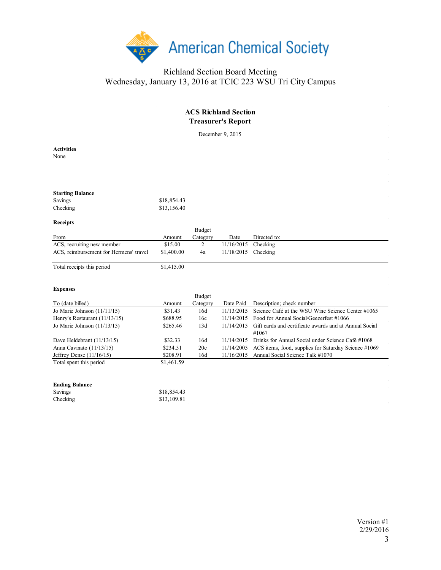

## **ACS Richland Section Treasurer's Report**

December 9, 2015

**Activities** None

| <b>Starting Balance</b> |             |
|-------------------------|-------------|
| Savings                 | \$18,854.43 |
| Checking                | \$13,156.40 |

#### **Receipts**

|                                        |            | <b>Budget</b> |                       |              |  |
|----------------------------------------|------------|---------------|-----------------------|--------------|--|
| From                                   | Amount     | Category      | Date                  | Directed to: |  |
| ACS, recruiting new member             | \$15.00    |               | $11/16/2015$ Checking |              |  |
| ACS, reimbursement for Hermens' travel | \$1,400.00 | 4a            | 11/18/2015 Checking   |              |  |
|                                        |            |               |                       |              |  |

Total receipts this period \$1,415.00

### **Expenses**

|                               |            | <b>Budget</b> |            |                                                        |
|-------------------------------|------------|---------------|------------|--------------------------------------------------------|
| To (date billed)              | Amount     | Category      | Date Paid  | Description; check number                              |
| Jo Marie Johnson $(11/11/15)$ | \$31.43    | 16d           | 11/13/2015 | Science Café at the WSU Wine Science Center #1065      |
| Henry's Restaurant (11/13/15) | \$688.95   | 16c           | 11/14/2015 | Food for Annual Social/Geezerfest #1066                |
| Jo Marie Johnson $(11/13/15)$ | \$265.46   | 13d           | 11/14/2015 | Gift cards and certificate awards and at Annual Social |
|                               |            |               |            | #1067                                                  |
| Dave Heldebrant $(11/13/15)$  | \$32.33    | 16d           | 11/14/2015 | Drinks for Annual Social under Science Café #1068      |
| Anna Cavinato $(11/13/15)$    | \$234.51   | 20c           | 11/14/2005 | ACS items, food, supplies for Saturday Science #1069   |
| Jeffrey Dense $(11/16/15)$    | \$208.91   | 16d           | 11/16/2015 | Annual Social Science Talk #1070                       |
| Total spent this period       | \$1,461.59 |               |            |                                                        |

### **Ending Balance**

| Savings  | \$18,854.43 |
|----------|-------------|
| Checking | \$13,109.81 |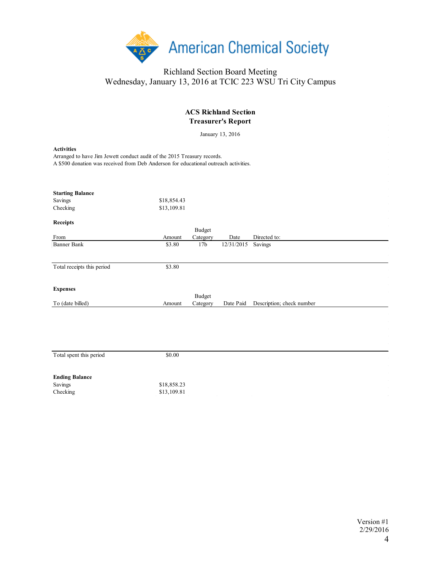

| <b>ACS Richland Section</b><br><b>Treasurer's Report</b>                                                                                                                             |                            |                           |            |                           |  |  |  |
|--------------------------------------------------------------------------------------------------------------------------------------------------------------------------------------|----------------------------|---------------------------|------------|---------------------------|--|--|--|
| January 13, 2016                                                                                                                                                                     |                            |                           |            |                           |  |  |  |
| <b>Activities</b><br>Arranged to have Jim Jewett conduct audit of the 2015 Treasury records.<br>A \$500 donation was received from Deb Anderson for educational outreach activities. |                            |                           |            |                           |  |  |  |
| <b>Starting Balance</b><br>Savings<br>Checking                                                                                                                                       | \$18,854.43<br>\$13,109.81 |                           |            |                           |  |  |  |
| <b>Receipts</b><br>From                                                                                                                                                              | Amount                     | <b>Budget</b><br>Category | Date       | Directed to:              |  |  |  |
| <b>Banner Bank</b>                                                                                                                                                                   | \$3.80                     | 17 <sub>b</sub>           | 12/31/2015 | Savings                   |  |  |  |
| Total receipts this period                                                                                                                                                           | \$3.80                     |                           |            |                           |  |  |  |
| <b>Expenses</b>                                                                                                                                                                      |                            | <b>Budget</b>             |            |                           |  |  |  |
| To (date billed)                                                                                                                                                                     | Amount                     | Category                  | Date Paid  | Description; check number |  |  |  |
|                                                                                                                                                                                      |                            |                           |            |                           |  |  |  |
| Total spent this period                                                                                                                                                              | \$0.00                     |                           |            |                           |  |  |  |
| <b>Ending Balance</b><br>Savings<br>Checking                                                                                                                                         | \$18,858.23<br>\$13,109.81 |                           |            |                           |  |  |  |